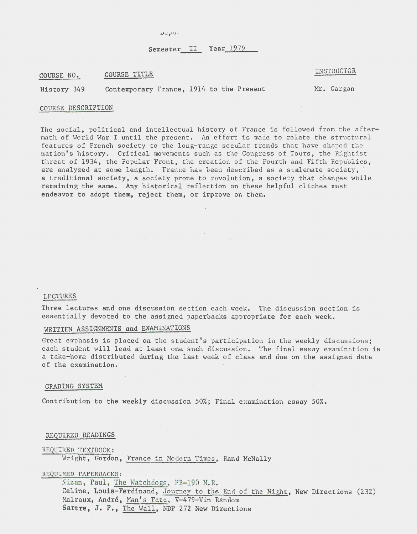Nepas.

# Semester II Year 1979

COURSE NO. COURSE TITLE COURSE ON A LINSTRUCTOR

History 349 Contemporary France, 1914 to the Present Mr. Gargan

 $\sim$ 

#### COURSE DESCRIPTION

The social, political and intellectual history of France is followed from the aftermath of World War I until the present. An effort is made to relate the structural features of French society to the long-range secular trends that have shaped the nation's history. Critical movements such as the Congress of Tours, the Rightist threat of 1934, the Popular Front, the creation of the Fourth and Fifth Republics, are analyzed at some length. France has been described as a stalemate society, a traditional society, a society prone to revolution, a society that changes while remaining the same. Any historical reflection on these helpful cliches must endeavor to adopt them, reject them, or improve on them.

# LECTURES

Three lectures and one discussion section each week. The discussion section is essentially devoted to the assigned paperbacks appropriate for each week.

# WRITTEN ASSIGNMENTS and EXAMINATIONS

 $\sim$ 

Great emphasis is placed on the student's participation in the weekly discussions; each student will lead at least one such discussion. The final essay examination is a take-home distributed during the last week of class and due on the assigned date of the examination.

#### GRADING SYSTEM

Contribution to the weekly discussion  $50\%$ ; Final examination essay  $50\%$ .

# REQUIRED READINGS

REQUIRED TEXTBOOK: Wright, Gordon, France in Modern Times, Rand McNally

 $\mathcal{A}$ 

#### REQUIRED PAPERBACKS:

Nizan, Paul, The Watchdogs, PB-190 M.R. Celine, Louis-Ferdinand, Journey to the End of the Night, New Directions (232) Malraux, Andre, Man's Fate, V-479-Vin Random Sartre, J. P., The Wall, NDP 272 New Directions